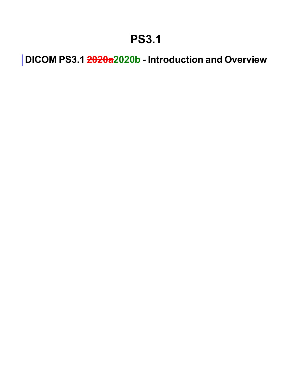## **PS3.1**

**DICOM PS3.1 2020a2020b - Introduction and Overview**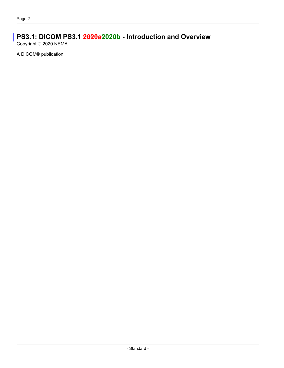### **PS3.1: DICOM PS3.1 2020a2020b - Introduction and Overview**

Copyright © 2020 NEMA

A DICOM® publication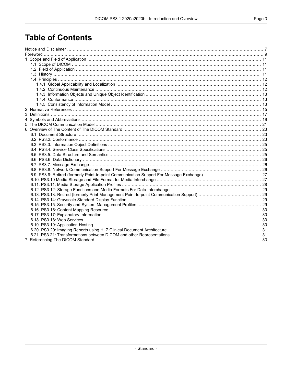### **Table of Contents**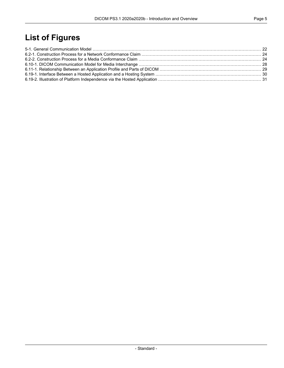## **List of Figures**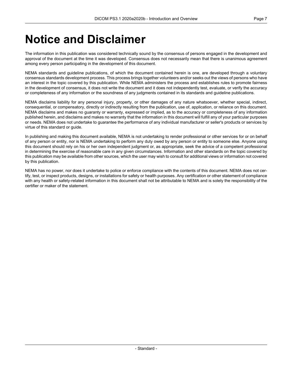## <span id="page-6-0"></span>**Notice and Disclaimer**

The information in this publication was considered technically sound by the consensus of persons engaged in the development and approval of the document at the time it was developed. Consensus does not necessarily mean that there is unanimous agreement among every person participating in the development of this document.

NEMA standards and guideline publications, of which the document contained herein is one, are developed through a voluntary consensus standards development process. This process brings together volunteers and/or seeks out the views of persons who have an interest in the topic covered by this publication. While NEMA administers the process and establishes rules to promote fairness in the development of consensus, it does not write the document and it does not independently test, evaluate, or verify the accuracy or completeness of any information or the soundness of any judgments contained in its standards and guideline publications.

NEMA disclaims liability for any personal injury, property, or other damages of any nature whatsoever, whether special, indirect, consequential, or compensatory, directly or indirectly resulting from the publication, use of, application, or reliance on this document. NEMA disclaims and makes no guaranty or warranty, expressed or implied, as to the accuracy or completeness of any information published herein, and disclaims and makes no warranty that the information in this document will fulfill any of your particular purposes or needs. NEMA does not undertake to guarantee the performance of any individual manufacturer or seller's products or services by virtue of this standard or guide.

In publishing and making this document available, NEMA is not undertaking to render professional or other services for or on behalf of any person or entity, nor is NEMA undertaking to perform any duty owed by any person or entity to someone else. Anyone using this document should rely on his or her own independent judgment or, as appropriate, seek the advice of a competent professional in determining the exercise of reasonable care in any given circumstances. Information and other standards on the topic covered by this publication may be available from other sources, which the user may wish to consult for additional views or information not covered by this publication.

NEMA has no power, nor does it undertake to police or enforce compliance with the contents of this document. NEMA does not cer tify, test, or inspect products, designs, or installations for safety or health purposes. Any certification or other statement of compliance with any health or safety-related information in this document shall not be attributable to NEMA and is solely the responsibility of the certifier or maker of the statement.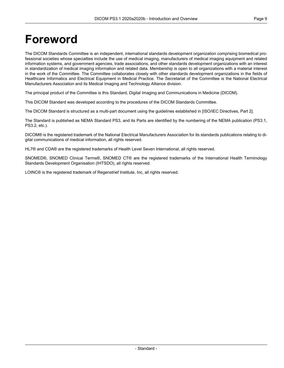## <span id="page-8-0"></span>**Foreword**

The DICOM Standards Committee is an independent, international standards development organization comprising biomedical pro fessional societies whose specialties include the use of medical imaging, manufacturers of medical imaging equipment and related information systems, and government agencies, trade associations, and other standards development organizations with an interest in standardization of medical imaging information and related data. Membership is open to all organizations with a material interest in the work of the Committee. The Committee collaborates closely with other standards development organizations in the fields of Healthcare Informatics and Electrical Equipment in Medical Practice. The Secretariat of the Committee is the National Electrical Manufacturers Association and its Medical Imaging and Technology Alliance division.

The principal product of the Committee is this Standard, Digital Imaging and Communications in Medicine (DICOM).

This DICOM Standard was developed according to the procedures of the DICOM Standards Committee.

The DICOM Standard is structured as a multi-part document using the guidelines established in [ISO/IEC [Directives,](#page-14-1) Part 2].

The Standard is published as NEMA Standard PS3, and its Parts are identified by the numbering of the NEMA publication (PS3.1, PS3.2, etc.).

DICOM® is the registered trademark of the National Electrical Manufacturers Association for its standards publications relating to di gital communications of medical information, all rights reserved.

HL7® and CDA® are the registered trademarks of Health Level Seven International, all rights reserved.

SNOMED®, SNOMED Clinical Terms®, SNOMED CT® are the registered trademarks of the International Health Terminology Standards Development Organisation (IHTSDO), all rights reserved.

LOINC® is the registered trademark of Regenstrief Institute, Inc, all rights reserved.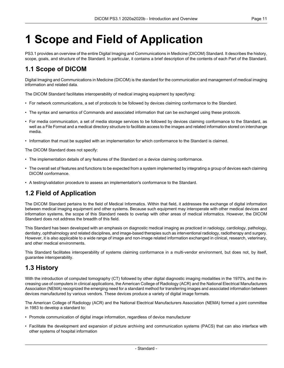# <span id="page-10-0"></span>**1 Scope and Field of Application**

<span id="page-10-1"></span>PS3.1 provides an overview of the entire Digital Imaging and Communications in Medicine (DICOM) Standard. It describes the history, scope, goals, and structure of the Standard. In particular, it contains a brief description of the contents of each Part of the Standard.

### **1.1 Scope of DICOM**

Digital Imaging and Communications in Medicine (DICOM) is the standard for the communication and management of medical imaging information and related data.

The DICOM Standard facilitates interoperability of medical imaging equipment by specifying:

- For network communications, a set of protocols to be followed by devices claiming conformance to the Standard.
- The syntax and semantics of Commands and associated information that can be exchanged using these protocols.
- For media communication, a set of media storage services to be followed by devices claiming conformance to the Standard, as well as a File Format and a medical directory structure to facilitate access to the images and related information stored on interchange media.
- Information that must be supplied with an implementation for which conformance to the Standard is claimed.

The DICOM Standard does not specify:

- The implementation details of any features of the Standard on a device claiming conformance.
- <span id="page-10-2"></span>• The overall set of features and functions to be expected from a system implemented by integrating a group of devices each claiming DICOM conformance.
- A testing/validation procedure to assess an implementation's conformance to the Standard.

### **1.2 Field of Application**

The DICOM Standard pertains to the field of Medical Informatics. Within that field, it addresses the exchange of digital information between medical imaging equipment and other systems. Because such equipment may interoperate with other medical devices and information systems, the scope of this Standard needs to overlap with other areas of medical informatics. However, the DICOM Standard does not address the breadth of this field.

<span id="page-10-3"></span>This Standard has been developed with an emphasis on diagnostic medical imaging as practiced in radiology, cardiology, pathology, dentistry, ophthalmology and related disciplines, and image-based therapies such as interventional radiology, radiotherapy and surgery. However, it is also applicable to a wide range of image and non-image related information exchanged in clinical, research, veterinary, and other medical environments.

This Standard facilitates interoperability of systems claiming conformance in a multi-vendor environment, but does not, by itself, guarantee interoperability.

### **1.3 History**

With the introduction of computed tomography (CT) followed by other digital diagnostic imaging modalities in the 1970's, and the in creasing use of computers in clinical applications, the American College of Radiology (ACR) and the National Electrical Manufacturers Association (NEMA) recognized the emerging need for a standard method for transferring images and associated information between devices manufactured by various vendors. These devices produce a variety of digital image formats.

The American College of Radiology (ACR) and the National Electrical Manufacturers Association (NEMA) formed a joint committee in 1983 to develop a standard to:

- Promote communication of digital image information, regardless of device manufacturer
- Facilitate the development and expansion of picture archiving and communication systems (PACS) that can also interface with other systems of hospital information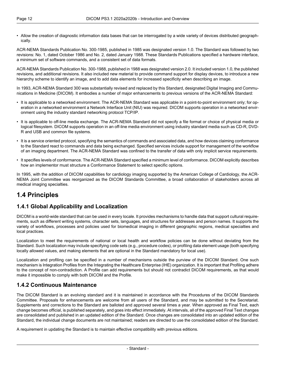• Allow the creation of diagnostic information data bases that can be interrogated by a wide variety of devices distributed geograph ically.

ACR-NEMA Standards Publication No. 300-1985, published in 1985 was designated version 1.0. The Standard was followed by two revisions: No. 1, dated October 1986 and No. 2, dated January 1988. These Standards Publications specified a hardware interface, a minimum set of software commands, and a consistent set of data formats.

ACR-NEMA Standards Publication No. 300-1988, published in 1988 was designated version 2.0. It included version 1.0, the published revisions, and additional revisions. It also included new material to provide command support for display devices, to introduce a new hierarchy scheme to identify an image, and to add data elements for increased specificity when describing an image.

In 1993, ACR-NEMA Standard 300 was substantially revised and replaced by this Standard, designated Digital Imaging and Commu nications in Medicine (DICOM). It embodies a number of major enhancements to previous versions of the ACR-NEMA Standard:

- It is applicable to a networked environment. The ACR-NEMA Standard was applicable in a point-to-point environment only; for op eration in a networked environment a Network Interface Unit (NIU) was required. DICOM supports operation in a networked envir onment using the industry standard networking protocol TCP/IP.
- It is applicable to off-line media exchange. The ACR-NEMA Standard did not specify a file format or choice of physical media or logical filesystem. DICOM supports operation in an off-line media environment using industry standard media such as CD-R, DVD- R and USB and common file systems.
- It is a service oriented protocol, specifying the semantics of commands and associated data, and how devices claiming conformance to the Standard react to commands and data being exchanged. Specified services include support for management of the workflow of an imaging department. The ACR-NEMA Standard was confined to the transfer of data with only implicit service requirements.
- It specifies levels of conformance. The ACR-NEMA Standard specified a minimum level of conformance. DICOM explicitly describes how an implementor must structure a Conformance Statement to select specific options.

<span id="page-11-1"></span><span id="page-11-0"></span>In 1995, with the addition of DICOM capabilities for cardiology imaging supported by the American College of Cardiology, the ACR- NEMA Joint Committee was reorganized as the DICOM Standards Committee, a broad collaboration of stakeholders across all medical imaging specialties.

### **1.4 Principles**

#### **1.4.1 Global Applicability and Localization**

DICOM is a world-wide standard that can be used in every locale. It provides mechanisms to handle data that support cultural require ments, such as different writing systems, character sets, languages, and structures for addresses and person names. It supports the variety of workflows, processes and policies used for biomedical imaging in different geographic regions, medical specialties and local practices.

Localization to meet the requirements of national or local health and workflow policies can be done without deviating from the Standard. Such localization may include specifying code sets (e.g., procedure codes), or profiling data element usage (both specifying locally allowed values, and making elements that are optional in the Standard mandatory for local use).

<span id="page-11-2"></span>Localization and profiling can be specified in a number of mechanisms outside the purview of the DICOM Standard. One such mechanism is Integration Profiles from the Integrating the Healthcare Enterprise (IHE) organization. It is important that Profiling adhere to the concept of non-contradiction. A Profile can add requirements but should not contradict DICOM requirements, as that would make it impossible to comply with both DICOM and the Profile.

#### **1.4.2 Continuous Maintenance**

The DICOM Standard is an evolving standard and it is maintained in accordance with the Procedures of the DICOM Standards Committee. Proposals for enhancements are welcome from all users of the Standard, and may be submitted to the Secretariat. Supplements and corrections to the Standard are balloted and approved several times a year. When approved as Final Text, each change becomes official, is published separately, and goes into effect immediately. At intervals, all of the approved Final Text changes are consolidated and published in an updated edition of the Standard. Once changes are consolidated into an updated edition of the Standard, the individual change documents are not maintained; readers are directed to use the consolidated edition of the Standard.

A requirement in updating the Standard is to maintain effective compatibility with previous editions.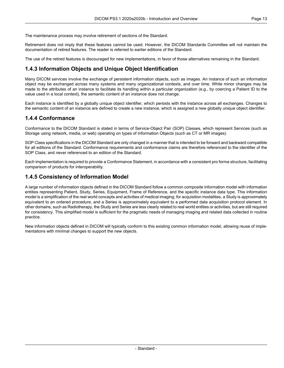The maintenance process may involve retirement of sections of the Standard.

Retirement does not imply that these features cannot be used. However, the DICOM Standards Committee will not maintain the documentation of retired features. The reader is referred to earlier editions of the Standard.

<span id="page-12-0"></span>The use of the retired features is discouraged for new implementations, in favor of those alternatives remaining in the Standard.

#### **1.4.3 Information Objects and Unique Object Identification**

Many DICOM services involve the exchange of persistent information objects, such as images. An instance of such an information object may be exchanged across many systems and many organizational contexts, and over time. While minor changes may be made to the attributes of an instance to facilitate its handling within a particular organization (e.g., by coercing a Patient ID to the value used in a local context), the semantic content of an instance does not change.

<span id="page-12-1"></span>Each instance is identified by a globally unique object identifier, which persists with the instance across all exchanges. Changes to the semantic content of an instance are defined to create a new instance, which is assigned a new globally unique object identifier.

#### **1.4.4 Conformance**

Conformance to the DICOM Standard is stated in terms of Service-Object Pair (SOP) Classes, which represent Services (such as Storage using network, media, or web) operating on types of Information Objects (such as CT or MR images).

SOP Class specifications in the DICOM Standard are only changed in a manner that is intended to be forward and backward compatible for all editions of the Standard. Conformance requirements and conformance claims are therefore referenced to the identifier of the SOP Class, and never referenced to an edition of the Standard.

<span id="page-12-2"></span>Each implementation is required to provide a Conformance Statement, in accordance with a consistent pro forma structure, facilitating comparison of products for interoperability.

#### **1.4.5 Consistency of Information Model**

A large number of information objects defined in the DICOM Standard follow a common composite information model with information entities representing Patient, Study, Series, Equipment, Frame of Reference, and the specific instance data type. This information model is a simplification of the real world concepts and activities of medical imaging; for acquisition modalities, a Study is approximately equivalent to an ordered procedure, and a Series is approximately equivalent to a performed data acquisition protocol element. In other domains, such as Radiotherapy, the Study and Series are less clearly related to real world entities or activities, but are still required for consistency. This simplified model is sufficient for the pragmatic needs of managing imaging and related data collected in routine practice.

New information objects defined in DICOM will typically conform to this existing common information model, allowing reuse of imple mentations with minimal changes to support the new objects.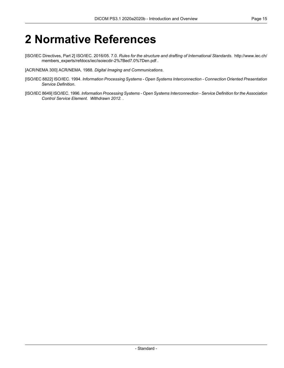## <span id="page-14-0"></span>**2 Normative References**

- <span id="page-14-1"></span>[ISO/IEC Directives, Part 2] ISO/IEC. 2016/05. 7.0. *Rules for the structure and drafting of International Standards*. [http://www.iec.ch/](http://www.iec.ch/members_experts/refdocs/iec/isoiecdir-2%7Bed7.0%7Den.pdf) [members\\_experts/refdocs/iec/isoiecdir-2%7Bed7.0%7Den.pdf](http://www.iec.ch/members_experts/refdocs/iec/isoiecdir-2%7Bed7.0%7Den.pdf) .
- [ACR/NEMA 300] ACR/NEMA. 1988. *Digital Imaging and Communications*.
- [ISO/IEC 8822] ISO/IEC. 1994. *Information Processing Systems - Open Systems Interconnection - Connection Oriented Presentation Service Definition*.
- [ISO/IEC 8649] ISO/IEC. 1996. *Information Processing Systems - Open Systems Interconnection - Service Definition for the Association Control Service Element*. *Withdrawn 2012.* .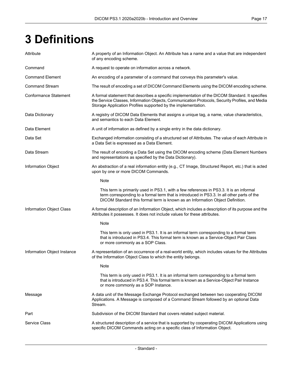# <span id="page-16-0"></span>**3 Definitions**

| Attribute                    | A property of an Information Object. An Attribute has a name and a value that are independent<br>of any encoding scheme.                                                                                                                                               |
|------------------------------|------------------------------------------------------------------------------------------------------------------------------------------------------------------------------------------------------------------------------------------------------------------------|
| Command                      | A request to operate on information across a network.                                                                                                                                                                                                                  |
| <b>Command Element</b>       | An encoding of a parameter of a command that conveys this parameter's value.                                                                                                                                                                                           |
| <b>Command Stream</b>        | The result of encoding a set of DICOM Command Elements using the DICOM encoding scheme.                                                                                                                                                                                |
| <b>Conformance Statement</b> | A formal statement that describes a specific implementation of the DICOM Standard. It specifies<br>the Service Classes, Information Objects, Communication Protocols, Security Profiles, and Media<br>Storage Application Profiles supported by the implementation.    |
| Data Dictionary              | A registry of DICOM Data Elements that assigns a unique tag, a name, value characteristics,<br>and semantics to each Data Element.                                                                                                                                     |
| Data Element                 | A unit of information as defined by a single entry in the data dictionary.                                                                                                                                                                                             |
| Data Set                     | Exchanged information consisting of a structured set of Attributes. The value of each Attribute in<br>a Data Set is expressed as a Data Element.                                                                                                                       |
| Data Stream                  | The result of encoding a Data Set using the DICOM encoding scheme (Data Element Numbers<br>and representations as specified by the Data Dictionary).                                                                                                                   |
| <b>Information Object</b>    | An abstraction of a real information entity (e.g., CT Image, Structured Report, etc.) that is acted<br>upon by one or more DICOM Commands.                                                                                                                             |
|                              | Note                                                                                                                                                                                                                                                                   |
|                              | This term is primarily used in PS3.1, with a few references in PS3.3. It is an informal<br>term corresponding to a formal term that is introduced in PS3.3. In all other parts of the<br>DICOM Standard this formal term is known as an Information Object Definition. |
| Information Object Class     | A formal description of an Information Object, which includes a description of its purpose and the<br>Attributes it possesses. It does not include values for these attributes.                                                                                        |
|                              | Note                                                                                                                                                                                                                                                                   |
|                              | This term is only used in PS3.1. It is an informal term corresponding to a formal term<br>that is introduced in PS3.4. This formal term is known as a Service-Object Pair Class<br>or more commonly as a SOP Class.                                                    |
| Information Object Instance  | A representation of an occurrence of a real-world entity, which includes values for the Attributes<br>of the Information Object Class to which the entity belongs.                                                                                                     |
|                              | Note                                                                                                                                                                                                                                                                   |
|                              | This term is only used in PS3.1. It is an informal term corresponding to a formal term<br>that is introduced in PS3.4. This formal term is known as a Service-Object Pair Instance<br>or more commonly as a SOP Instance.                                              |
| Message                      | A data unit of the Message Exchange Protocol exchanged between two cooperating DICOM<br>Applications. A Message is composed of a Command Stream followed by an optional Data<br>Stream.                                                                                |
| Part                         | Subdivision of the DICOM Standard that covers related subject material.                                                                                                                                                                                                |
| <b>Service Class</b>         | A structured description of a service that is supported by cooperating DICOM Applications using<br>specific DICOM Commands acting on a specific class of Information Object.                                                                                           |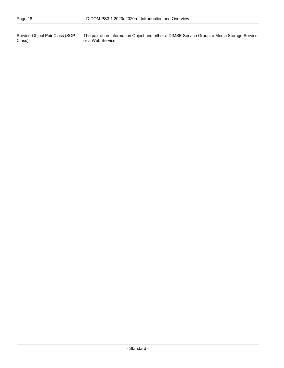Service-Object Pair Class (SOP Class)

The pair of an Information Object and either a DIMSE Service Group, a Media Storage Service, or a Web Service.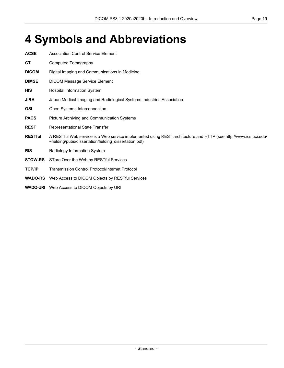## <span id="page-18-0"></span>**4 Symbols and Abbreviations**

| <b>ACSE</b>     | <b>Association Control Service Element</b>                                                                                                                                 |  |  |
|-----------------|----------------------------------------------------------------------------------------------------------------------------------------------------------------------------|--|--|
| СT              | Computed Tomography                                                                                                                                                        |  |  |
| <b>DICOM</b>    | Digital Imaging and Communications in Medicine                                                                                                                             |  |  |
| <b>DIMSE</b>    | <b>DICOM Message Service Element</b>                                                                                                                                       |  |  |
| <b>HIS</b>      | Hospital Information System                                                                                                                                                |  |  |
| <b>JIRA</b>     | Japan Medical Imaging and Radiological Systems Industries Association                                                                                                      |  |  |
| <b>OSI</b>      | Open Systems Interconnection                                                                                                                                               |  |  |
| <b>PACS</b>     | Picture Archiving and Communication Systems                                                                                                                                |  |  |
| <b>REST</b>     | Representational State Transfer                                                                                                                                            |  |  |
| <b>RESTful</b>  | A RESTful Web service is a Web service implemented using REST architecture and HTTP (see http://www.ics.uci.edu/<br>~fielding/pubs/dissertation/fielding_dissertation.pdf) |  |  |
| <b>RIS</b>      | Radiology Information System                                                                                                                                               |  |  |
| <b>STOW-RS</b>  | STore Over the Web by RESTful Services                                                                                                                                     |  |  |
| <b>TCP/IP</b>   | <b>Transmission Control Protocol/Internet Protocol</b>                                                                                                                     |  |  |
| <b>WADO-RS</b>  | Web Access to DICOM Objects by RESTful Services                                                                                                                            |  |  |
| <b>WADO-URI</b> | Web Access to DICOM Objects by URI                                                                                                                                         |  |  |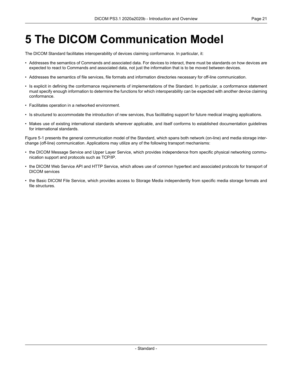## <span id="page-20-0"></span>**5 The DICOM Communication Model**

The DICOM Standard facilitates interoperability of devices claiming conformance. In particular, it:

- Addresses the semantics of Commands and associated data. For devices to interact, there must be standards on how devices are expected to react to Commands and associated data, not just the information that is to be moved between devices.
- Addresses the semantics of file services, file formats and information directories necessary for off-line communication.
- Is explicit in defining the conformance requirements of implementations of the Standard. In particular, a conformance statement must specify enough information to determine the functions for which interoperability can be expected with another device claiming conformance.
- Facilitates operation in a networked environment.
- Is structured to accommodate the introduction of new services, thus facilitating support for future medical imaging applications.
- Makes use of existing international standards wherever applicable, and itself conforms to established documentation guidelines for international standards.

[Figure](#page-21-0) 5-1 presents the general communication model of the Standard, which spans both network (on-line) and media storage inter change (off-line) communication. Applications may utilize any of the following transport mechanisms:

- the DICOM Message Service and Upper Layer Service, which provides independence from specific physical networking commu nication support and protocols such as TCP/IP.
- the DICOM Web Service API and HTTP Service, which allows use of common hypertext and associated protocols for transport of DICOM services
- the Basic DICOM File Service, which provides access to Storage Media independently from specific media storage formats and file structures.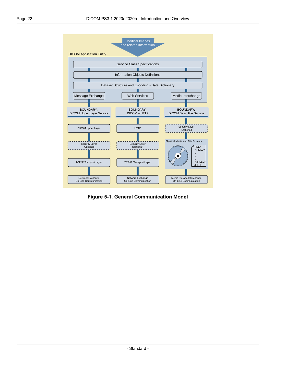<span id="page-21-0"></span>

**Figure 5-1. General Communication Model**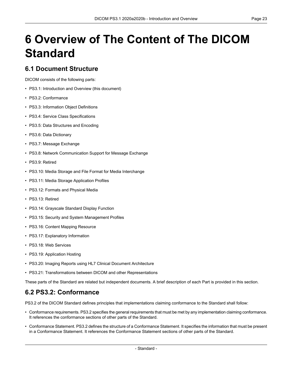# <span id="page-22-0"></span>**6 Overview of The Content of The DICOM Standard**

#### <span id="page-22-1"></span>**6.1 Document Structure**

DICOM consists of the following parts:

- PS3.1: Introduction and Overview (this document)
- PS3.2: [Conformance](part02.pdf#PS3.2)
- PS3.3: [Information](part03.pdf#PS3.3) Object Definitions
- PS3.4: Service Class [Specifications](part04.pdf#PS3.4)
- PS3.5: Data [Structures](part05.pdf#PS3.5) and Encoding
- PS3.6: Data [Dictionary](part06.pdf#PS3.6)
- PS3.7: Message [Exchange](part07.pdf#PS3.7)
- PS3.8: Network [Communication](part08.pdf#PS3.8) Support for Message Exchange
- PS3.9: Retired
- PS3.10: Media Storage and File Format for Media [Interchange](part10.pdf#PS3.10)
- PS3.11: Media Storage [Application](part11.pdf#PS3.11) Profiles
- PS3.12: Formats and [Physical](part12.pdf#PS3.12) Media
- PS3.13: Retired
- PS3.14: [Grayscale](part14.pdf#PS3.14) Standard Display Function
- PS3.15: Security and System [Management](part15.pdf#PS3.15) Profiles
- PS3.16: Content Mapping [Resource](part16.pdf#PS3.16)
- PS3.17: [Explanatory](part17.pdf#PS3.17) Information
- PS3.18: Web [Services](part18.pdf#PS3.18)
- <span id="page-22-2"></span>• PS3.19: [Application](part19.pdf#PS3.19) Hosting
- PS3.20: Imaging Reports using HL7 Clinical Document [Architecture](part20.pdf#PS3.20)
- PS3.21: Transformations between DICOM and other [Representations](part21.pdf#PS3.21)

These parts of the Standard are related but independent documents. A brief description of each Part is provided in this section.

### **6.2 PS3.2: Conformance**

[PS3.2](part02.pdf#PS3.2) of the DICOM Standard defines principles that implementations claiming conformance to the Standard shall follow:

- Conformance requirements. [PS3.2](part02.pdf#PS3.2) specifies the general requirements that must be met by any implementation claiming conformance. It references the conformance sections of other parts of the Standard.
- Conformance Statement. [PS3.2](part02.pdf#PS3.2) defines the structure of a Conformance Statement. It specifies the information that must be present in a Conformance Statement. It references the Conformance Statement sections of other parts of the Standard.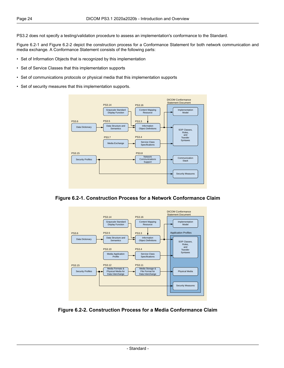[PS3.2](part02.pdf#PS3.2) does not specify a testing/validation procedure to assess an implementation's conformance to the Standard.

[Figure](#page-23-0) 6.2-1 and [Figure](#page-23-1) 6.2-2 depict the construction process for a Conformance Statement for both network communication and media exchange. A Conformance Statement consists of the following parts:

- Set of Information Objects that is recognized by this implementation
- Set of Service Classes that this implementation supports
- Set of communications protocols or physical media that this implementation supports
- <span id="page-23-0"></span>• Set of security measures that this implementation supports.



<span id="page-23-1"></span>



**Figure 6.2-2. Construction Process for a Media Conformance Claim**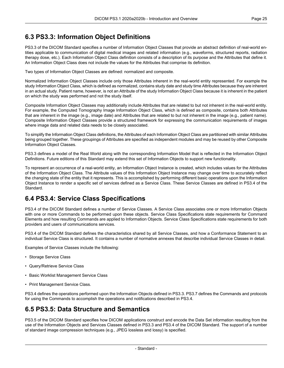### <span id="page-24-0"></span>**6.3 PS3.3: Information Object Definitions**

[PS3.3](part03.pdf#PS3.3) of the DICOM Standard specifies a number of Information Object Classes that provide an abstract definition of real-world en tities applicable to communication of digital medical images and related information (e.g., waveforms, structured reports, radiation therapy dose, etc.). Each Information Object Class definition consists of a description of its purpose and the Attributes that define it. An Information Object Class does not include the values for the Attributes that comprise its definition.

Two types of Information Object Classes are defined: normalized and composite.

Normalized Information Object Classes include only those Attributes inherent in the real-world entity represented. For example the study Information Object Class, which is defined as normalized, contains study date and study time Attributes because they are inherent in an actual study. Patient name, however, is not an Attribute of the study Information Object Class because it is inherent in the patient on which the study was performed and not the study itself.

Composite Information Object Classes may additionally include Attributes that are related to but not inherent in the real-world entity. For example, the Computed Tomography Image Information Object Class, which is defined as composite, contains both Attributes that are inherent in the image (e.g., image date) and Attributes that are related to but not inherent in the image (e.g., patient name). Composite Information Object Classes provide a structured framework for expressing the communication requirements of images where image data and related data needs to be closely associated.

To simplify the Information Object Class definitions, the Attributes of each Information Object Class are partitioned with similar Attributes being grouped together. These groupings of Attributes are specified as independent modules and may be reused by other Composite Information Object Classes.

[PS3.3](part03.pdf#PS3.3) defines a model of the Real World along with the corresponding Information Model that is reflected in the Information Object Definitions. Future editions of this Standard may extend this set of Information Objects to support new functionality.

<span id="page-24-1"></span>To represent an occurrence of a real-world entity, an Information Object Instance is created, which includes values for the Attributes of the Information Object Class. The Attribute values of this Information Object Instance may change over time to accurately reflect the changing state of the entity that it represents. This is accomplished by performing different basic operations upon the Information Object Instance to render a specific set of services defined as a Service Class. These Service Classes are defined in [PS3.4](part04.pdf#PS3.4) of the Standard.

### **6.4 PS3.4: Service Class Specifications**

[PS3.4](part04.pdf#PS3.4) of the DICOM Standard defines a number of Service Classes. A Service Class associates one or more Information Objects with one or more Commands to be performed upon these objects. Service Class Specifications state requirements for Command Elements and how resulting Commands are applied to Information Objects. Service Class Specifications state requirements for both providers and users of communications services.

[PS3.4](part04.pdf#PS3.4) of the DICOM Standard defines the characteristics shared by all Service Classes, and how a Conformance Statement to an individual Service Class is structured. It contains a number of normative annexes that describe individual Service Classes in detail.

Examples of Service Classes include the following:

- Storage Service Class
- Query/Retrieve Service Class
- <span id="page-24-2"></span>• Basic Worklist Management Service Class
- Print Management Service Class.

[PS3.4](part04.pdf#PS3.4) defines the operations performed upon the Information Objects defined in [PS3.3.](part03.pdf#PS3.3) [PS3.7](part07.pdf#PS3.7) defines the Commands and protocols for using the Commands to accomplish the operations and notifications described in [PS3.4](part04.pdf#PS3.4).

### **6.5 PS3.5: Data Structure and Semantics**

[PS3.5](part05.pdf#PS3.5) of the DICOM Standard specifies how DICOM applications construct and encode the Data Set information resulting from the use of the Information Objects and Services Classes defined in [PS3.3](part03.pdf#PS3.3) and [PS3.4](part04.pdf#PS3.4) of the DICOM Standard. The support of a number of standard image compression techniques (e.g., JPEG lossless and lossy) is specified.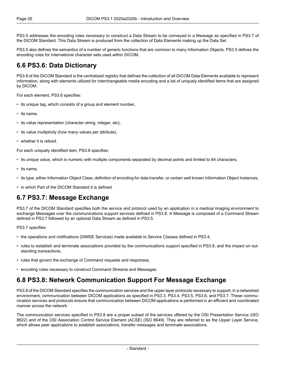[PS3.5](part05.pdf#PS3.5) addresses the encoding rules necessary to construct a Data Stream to be conveyed in a Message as specified in [PS3.7](part07.pdf#PS3.7) of the DICOM Standard. This Data Stream is produced from the collection of Data Elements making up the Data Set.

<span id="page-25-0"></span>[PS3.5](part05.pdf#PS3.5) also defines the semantics of a number of generic functions that are common to many Information Objects. [PS3.5](part05.pdf#PS3.5) defines the encoding rules for international character sets used within DICOM.

#### **6.6 PS3.6: Data Dictionary**

[PS3.6](part06.pdf#PS3.6) of the DICOM Standard is the centralized registry that defines the collection of all DICOM Data Elements available to represent information, along with elements utilized for interchangeable media encoding and a list of uniquely identified items that are assigned by DICOM.

For each element, [PS3.6](part06.pdf#PS3.6) specifies:

- its unique tag, which consists of a group and element number,
- its name,
- its value representation (character string, integer, etc),
- its value multiplicity (how many values per attribute),
- whether it is retired.

For each uniquely identified item, [PS3.6](part06.pdf#PS3.6) specifies:

- its unique value, which is numeric with multiple components separated by decimal points and limited to 64 characters,
- its name,
- <span id="page-25-1"></span>• its type, either Information Object Class, definition of encoding for data transfer, or certain well known Information Object Instances,
- in which Part of the DICOM Standard it is defined.

#### **6.7 PS3.7: Message Exchange**

[PS3.7](part07.pdf#PS3.7) of the DICOM Standard specifies both the service and protocol used by an application in a medical imaging environment to exchange Messages over the communications support services defined in [PS3.8.](part08.pdf#PS3.8) A Message is composed of a Command Stream defined in [PS3.7](part07.pdf#PS3.7) followed by an optional Data Stream as defined in [PS3.5](part05.pdf#PS3.5).

[PS3.7](part07.pdf#PS3.7) specifies:

- the operations and notifications (DIMSE Services) made available to Service Classes defined in [PS3.4,](part04.pdf#PS3.4)
- <span id="page-25-2"></span>• rules to establish and terminate associations provided by the communications support specified in [PS3.8,](part08.pdf#PS3.8) and the impact on out standing transactions,
- rules that govern the exchange of Command requests and responses,
- encoding rules necessary to construct Command Streams and Messages.

#### **6.8 PS3.8: Network Communication Support For Message Exchange**

[PS3.8](part08.pdf#PS3.8) of the DICOM Standard specifies the communication services and the upper layer protocols necessary to support, in a networked environment, communication between DICOM applications as specified in [PS3.3](part03.pdf#PS3.3), [PS3.4,](part04.pdf#PS3.4) [PS3.5](part05.pdf#PS3.5), [PS3.6,](part06.pdf#PS3.6) and [PS3.7.](part07.pdf#PS3.7) These commu nication services and protocols ensure that communication between DICOM applications is performed in an efficient and coordinated manner across the network.

The communication services specified in [PS3.8](part08.pdf#PS3.8) are a proper subset of the services offered by the OSI Presentation Service (ISO 8822) and of the OSI Association Control Service Element (ACSE) (ISO 8649). They are referred to as the Upper Layer Service, which allows peer applications to establish associations, transfer messages and terminate associations.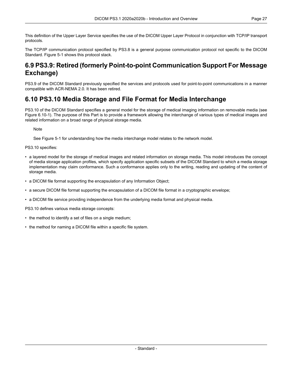This definition of the Upper Layer Service specifies the use of the DICOM Upper Layer Protocol in conjunction with TCP/IP transport protocols.

<span id="page-26-0"></span>The TCP/IP communication protocol specified by [PS3.8](part08.pdf#PS3.8) is a general purpose communication protocol not specific to the DICOM Standard. [Figure](#page-21-0) 5-1 shows this protocol stack.

### **6.9 PS3.9: Retired (formerly Point-to-point Communication Support For Message Exchange)**

<span id="page-26-1"></span>PS3.9 of the DICOM Standard previously specified the services and protocols used for point-to-point communications in a manner compatible with ACR-NEMA 2.0. It has been retired.

#### **6.10 PS3.10 Media Storage and File Format for Media Interchange**

[PS3.10](part10.pdf#PS3.10) of the DICOM Standard specifies a general model for the storage of medical imaging information on removable media (see Figure [6.10-1\)](#page-27-1). The purpose of this Part is to provide a framework allowing the interchange of various types of medical images and related information on a broad range of physical storage media.

**Note** 

See [Figure](#page-21-0) 5-1 for understanding how the media interchange model relates to the network model.

[PS3.10](part10.pdf#PS3.10) specifies:

- a layered model for the storage of medical images and related information on storage media. This model introduces the concept of media storage application profiles, which specify application specific subsets of the DICOM Standard to which a media storage implementation may claim conformance. Such a conformance applies only to the writing, reading and updating of the content of storage media.
- a DICOM file format supporting the encapsulation of any Information Object;
- a secure DICOM file format supporting the encapsulation of a DICOM file format in a cryptographic envelope;
- a DICOM file service providing independence from the underlying media format and physical media.

[PS3.10](part10.pdf#PS3.10) defines various media storage concepts:

- the method to identify a set of files on a single medium;
- the method for naming a DICOM file within a specific file system.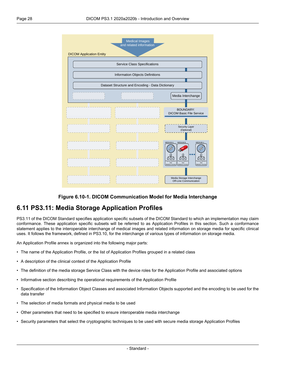<span id="page-27-1"></span>



### <span id="page-27-0"></span>**6.11 PS3.11: Media Storage Application Profiles**

[PS3.11](part11.pdf#PS3.11) of the DICOM Standard specifies application specific subsets of the DICOM Standard to which an implementation may claim conformance. These application specific subsets will be referred to as Application Profiles in this section. Such a conformance statement applies to the interoperable interchange of medical images and related information on storage media for specific clinical uses. It follows the framework, defined in [PS3.10](part10.pdf#PS3.10), for the interchange of various types of information on storage media.

An Application Profile annex is organized into the following major parts:

- The name of the Application Profile, or the list of Application Profiles grouped in a related class
- A description of the clinical context of the Application Profile
- The definition of the media storage Service Class with the device roles for the Application Profile and associated options
- Informative section describing the operational requirements of the Application Profile
- Specification of the Information Object Classes and associated Information Objects supported and the encoding to be used for the data transfer
- The selection of media formats and physical media to be used
- Other parameters that need to be specified to ensure interoperable media interchange
- Security parameters that select the cryptographic techniques to be used with secure media storage Application Profiles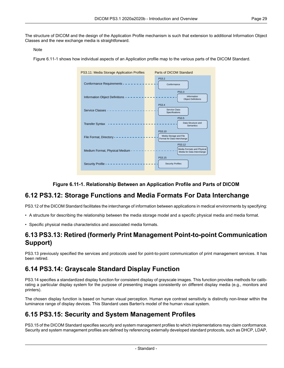The structure of DICOM and the design of the Application Profile mechanism is such that extension to additional Information Object Classes and the new exchange media is straightforward.

#### Note

<span id="page-28-4"></span>[Figure](#page-28-4) 6.11-1 shows how individual aspects of an Application profile map to the various parts of the DICOM Standard.



#### **Figure 6.11-1. Relationship Between an Application Profile and Parts of DICOM**

#### <span id="page-28-0"></span>**6.12 PS3.12: Storage Functions and Media Formats For Data Interchange**

<span id="page-28-1"></span>[PS3.12](part12.pdf#PS3.12) of the DICOM Standard facilitates the interchange of information between applications in medical environments by specifying:

- A structure for describing the relationship between the media storage model and a specific physical media and media format.
- Specific physical media characteristics and associated media formats.

#### <span id="page-28-2"></span>**6.13 PS3.13: Retired (formerly Print Management Point-to-point Communication Support)**

PS3.13 previously specified the services and protocols used for point-to-point communication of print management services. It has been retired.

### **6.14 PS3.14: Grayscale Standard Display Function**

<span id="page-28-3"></span>[PS3.14](part14.pdf#PS3.14) specifies a standardized display function for consistent display of grayscale images. This function provides methods for calib rating a particular display system for the purpose of presenting images consistently on different display media (e.g., monitors and printers).

The chosen display function is based on human visual perception. Human eye contrast sensitivity is distinctly non-linear within the luminance range of display devices. This Standard uses Barten's model of the human visual system.

### **6.15 PS3.15: Security and System Management Profiles**

[PS3.15](part15.pdf#PS3.15) of the DICOM Standard specifies security and system management profiles to which implementations may claim conformance. Security and system management profiles are defined by referencing externally developed standard protocols, such as DHCP, LDAP,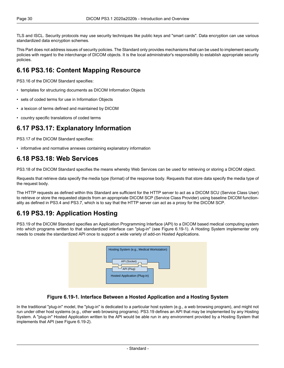TLS and ISCL. Security protocols may use security techniques like public keys and "smart cards". Data encryption can use various standardized data encryption schemes.

<span id="page-29-0"></span>This Part does not address issues of security policies. The Standard only provides mechanisms that can be used to implement security policies with regard to the interchange of DICOM objects. It is the local administrator's responsibility to establish appropriate security policies.

### **6.16 PS3.16: Content Mapping Resource**

[PS3.16](part16.pdf#PS3.16) of the DICOM Standard specifies:

- templates for structuring documents as DICOM Information Objects
- sets of coded terms for use in Information Objects
- <span id="page-29-1"></span>• a lexicon of terms defined and maintained by DICOM
- country specific translations of coded terms

#### **6.17 PS3.17: Explanatory Information**

<span id="page-29-2"></span>[PS3.17](part17.pdf#PS3.17) of the DICOM Standard specifies:

• informative and normative annexes containing explanatory information

#### **6.18 PS3.18: Web Services**

[PS3.18](part18.pdf#PS3.18) of the DICOM Standard specifies the means whereby Web Services can be used for retrieving or storing a DICOM object.

Requests that retrieve data specify the media type (format) of the response body. Requests that store data specify the media type of the request body.

<span id="page-29-3"></span>The HTTP requests as defined within this Standard are sufficient for the HTTP server to act as a DICOM SCU (Service Class User) to retrieve or store the requested objects from an appropriate DICOM SCP (Service Class Provider) using baseline DICOM function ality as defined in [PS3.4](part04.pdf#PS3.4) and [PS3.7,](part07.pdf#PS3.7) which is to say that the HTTP server can act as a proxy for the DICOM SCP.

### **6.19 PS3.19: Application Hosting**

<span id="page-29-4"></span>[PS3.19](part19.pdf#PS3.19) of the DICOM Standard specifies an Application Programming Interface (API) to a DICOM based medical computing system into which programs written to that standardized interface can "plug-in" (see [Figure](#page-29-4) 6.19-1). A Hosting System implementer only needs to create the standardized API once to support a wide variety of add-on Hosted Applications.

| Hosting System (e.g., Medical Workstation)                 |  |
|------------------------------------------------------------|--|
| API (Socket)<br>API (Plug)<br>Hosted Application (Plug-in) |  |
|                                                            |  |

#### **Figure 6.19-1. Interface Between a Hosted Application and a Hosting System**

In the traditional "plug-in" model, the "plug-in" is dedicated to a particular host system (e.g., a web browsing program), and might not run under other host systems (e.g., other web browsing programs). [PS3.19](part19.pdf#PS3.19) defines an API that may be implemented by any Hosting System. A "plug-in" Hosted Application written to the API would be able run in any environment provided by a Hosting System that implements that API (see [Figure](#page-30-2) 6.19-2).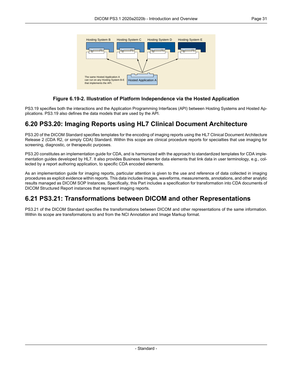<span id="page-30-2"></span>

#### **Figure 6.19-2. Illustration of Platform Independence via the Hosted Application**

<span id="page-30-0"></span>[PS3.19](part19.pdf#PS3.19) specifies both the interactions and the Application Programming Interfaces (API) between Hosting Systems and Hosted Ap plications. [PS3.19](part19.pdf#PS3.19) also defines the data models that are used by the API.

#### **6.20 PS3.20: Imaging Reports using HL7 Clinical Document Architecture**

[PS3.20](part20.pdf#PS3.20) of the DICOM Standard specifies templates for the encoding of imaging reports using the HL7 Clinical Document Architecture Release 2 (CDA R2, or simply CDA) Standard. Within this scope are clinical procedure reports for specialties that use imaging for screening, diagnostic, or therapeutic purposes.

[PS3.20](part20.pdf#PS3.20) constitutes an implementation guide for CDA, and is harmonized with the approach to standardized templates for CDA imple mentation guides developed by HL7. It also provides Business Names for data elements that link data in user terminology, e.g., collected by a report authoring application, to specific CDA encoded elements.

<span id="page-30-1"></span>As an implementation guide for imaging reports, particular attention is given to the use and reference of data collected in imaging procedures as explicit evidence within reports. This data includes images, waveforms, measurements, annotations, and other analytic results managed as DICOM SOP Instances. Specifically, this Part includes a specification for transformation into CDA documents of DICOM Structured Report instances that represent imaging reports.

### **6.21 PS3.21: Transformations between DICOM and other Representations**

[PS3.21](part21.pdf#PS3.21) of the DICOM Standard specifies the transformations between DICOM and other representations of the same information. Within its scope are transformations to and from the NCI Annotation and Image Markup format.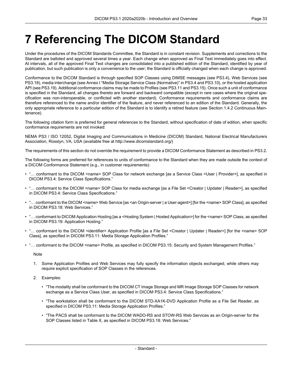# <span id="page-32-0"></span>**7 Referencing The DICOM Standard**

Under the procedures of the DICOM Standards Committee, the Standard is in constant revision. Supplements and corrections to the Standard are balloted and approved several times a year. Each change when approved as Final Text immediately goes into effect. At intervals, all of the approved Final Text changes are consolidated into a published edition of the Standard, identified by year of publication, but such publication is only a convenience to the user; the Standard is officially changed when each change is approved.

Conformance to the DICOM Standard is through specified SOP Classes using DIMSE messages (see [PS3.4](part04.pdf#PS3.4)), Web Services (see [PS3.18](part18.pdf#PS3.18)), media interchange (see Annex I "Media Storage Service Class [\(Normative\)"](part04.pdf#chapter_I) in PS3.4 and [PS3.10\)](part10.pdf#PS3.10), or the hosted application API (see [PS3.19\)](part19.pdf#PS3.19). Additional conformance claims may be made to Profiles (see [PS3.11](part11.pdf#PS3.11) and [PS3.15](part15.pdf#PS3.15)). Once such a unit of conformance is specified in the Standard, all changes thereto are forward and backward compatible (except in rare cases where the original spe cification was non-interoperable, or conflicted with another standard). Conformance requirements and conformance claims are therefore referenced to the name and/or identifier of the feature, and never referenced to an edition of the Standard. Generally, the only appropriate reference to a particular edition of the Standard is to identify a retired feature (see Section 1.4.2 [Continuous](#page-11-2) Main [tenance](#page-11-2)).

The following citation form is preferred for general references to the Standard, without specification of date of edition, when specific conformance requirements are not invoked:

NEMA PS3 / ISO 12052, Digital Imaging and Communications in Medicine (DICOM) Standard, National Electrical Manufacturers Association, Rosslyn, VA, USA (available free at <http://www.dicomstandard.org/>)

The requirements of this section do not override the requirement to provide a DICOM Conformance Statement as described in [PS3.2.](part02.pdf#PS3.2)

The following forms are preferred for references to units of conformance to the Standard when they are made outside the context of a DICOM Conformance Statement (e.g., in customer requirements):

- "… conformant to the DICOM <name> SOP Class for network exchange [as a Service Class <User | Provider>], as specified in DICOM [PS3.4:](part04.pdf#PS3.4) Service Class Specifications."
- "… conformant to the DICOM <name> SOP Class for media exchange [as a File Set <Creator | Updater | Reader>], as specified in DICOM [PS3.4](part04.pdf#PS3.4): Service Class Specifications."
- "... conformant to the DICOM <name> Web Service [as <an Origin-server | a User-agent>] [for the <name> SOP Class], as specified in DICOM [PS3.18](part18.pdf#PS3.18): Web Services."
- "… conformant to DICOM Application Hosting [as a <Hosting System | Hosted Application>] for the <name> SOP Class, as specified in DICOM [PS3.19](part19.pdf#PS3.19): Application Hosting."
- "… conformant to the DICOM <identifier> Application Profile [as a File Set <Creator | Updater | Reader>] [for the <name> SOP Class], as specified in DICOM [PS3.11](part11.pdf#PS3.11): Media Storage Application Profiles."
- "… conformant to the DICOM <name> Profile, as specified in DICOM [PS3.15:](part15.pdf#PS3.15) Security and System Management Profiles."

**Note** 

- 1. Some Application Profiles and Web Services may fully specify the information objects exchanged, while others may require explicit specification of SOP Classes in the references.
- 2. Examples:
	- "The modality shall be conformant to the DICOM CT Image Storage and MR Image Storage SOP Classes for network exchange as a Service Class User, as specified in DICOM [PS3.4:](part04.pdf#PS3.4) Service Class Specifications."
	- "The workstation shall be conformant to the DICOM STD-XA1K-DVD Application Profile as a File Set Reader, as specified in DICOM [PS3.11](part11.pdf#PS3.11): Media Storage Application Profiles."
	- "The PACS shall be conformant to the DICOM WADO-RS and STOW-RS Web Services as an Origin-server for the SOP Classes listed in Table X, as specified in DICOM [PS3.18](part18.pdf#PS3.18): Web Services."